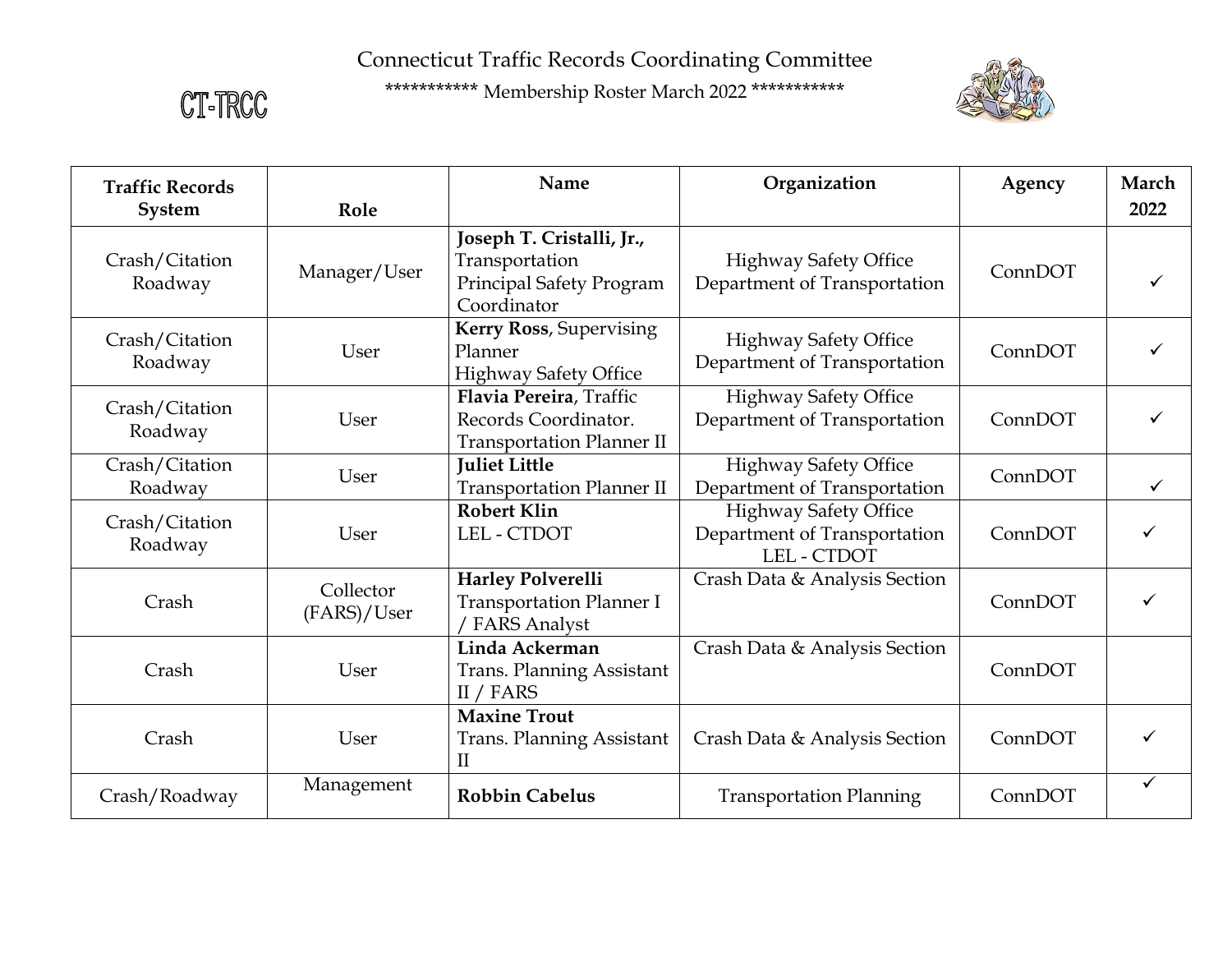CT-TRCC



| <b>Traffic Records</b>    |                          | Name                                                                                   | Organization                                                                       | Agency  | March        |
|---------------------------|--------------------------|----------------------------------------------------------------------------------------|------------------------------------------------------------------------------------|---------|--------------|
| System                    | Role                     |                                                                                        |                                                                                    |         | 2022         |
| Crash/Citation<br>Roadway | Manager/User             | Joseph T. Cristalli, Jr.,<br>Transportation<br>Principal Safety Program<br>Coordinator | <b>Highway Safety Office</b><br>Department of Transportation                       | ConnDOT |              |
| Crash/Citation<br>Roadway | User                     | Kerry Ross, Supervising<br>Planner<br><b>Highway Safety Office</b>                     | <b>Highway Safety Office</b><br>Department of Transportation                       | ConnDOT | ✓            |
| Crash/Citation<br>Roadway | User                     | Flavia Pereira, Traffic<br>Records Coordinator.<br><b>Transportation Planner II</b>    | <b>Highway Safety Office</b><br>Department of Transportation                       | ConnDOT | ✓            |
| Crash/Citation<br>Roadway | User                     | <b>Juliet Little</b><br><b>Transportation Planner II</b>                               | <b>Highway Safety Office</b><br>Department of Transportation                       | ConnDOT | ✓            |
| Crash/Citation<br>Roadway | User                     | <b>Robert Klin</b><br>LEL - CTDOT                                                      | <b>Highway Safety Office</b><br>Department of Transportation<br><b>LEL - CTDOT</b> | ConnDOT |              |
| Crash                     | Collector<br>(FARS)/User | <b>Harley Polverelli</b><br><b>Transportation Planner I</b><br><b>FARS Analyst</b>     | Crash Data & Analysis Section                                                      | ConnDOT |              |
| Crash                     | User                     | Linda Ackerman<br><b>Trans. Planning Assistant</b><br>II / FARS                        | Crash Data & Analysis Section                                                      | ConnDOT |              |
| Crash                     | User                     | <b>Maxine Trout</b><br><b>Trans. Planning Assistant</b><br>$\mathbf{I}$                | Crash Data & Analysis Section                                                      | ConnDOT |              |
| Crash/Roadway             | Management               | <b>Robbin Cabelus</b>                                                                  | <b>Transportation Planning</b>                                                     | ConnDOT | $\checkmark$ |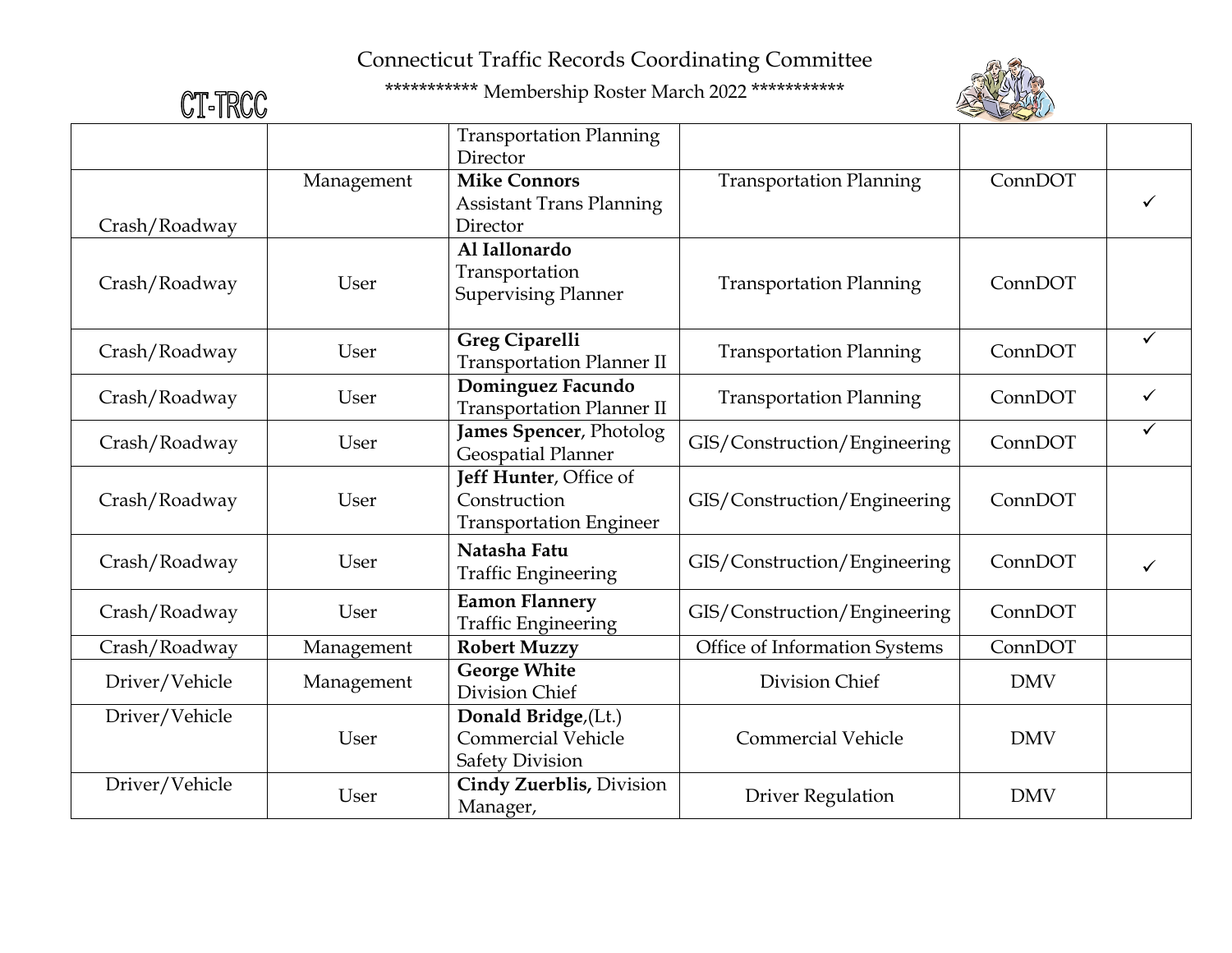

| CT-TRCC        |            | *********** Membership Roster March 2022 ***********                        |                                |            |              |
|----------------|------------|-----------------------------------------------------------------------------|--------------------------------|------------|--------------|
|                |            | <b>Transportation Planning</b><br>Director                                  |                                |            |              |
| Crash/Roadway  | Management | <b>Mike Connors</b><br><b>Assistant Trans Planning</b><br>Director          | <b>Transportation Planning</b> | ConnDOT    |              |
| Crash/Roadway  | User       | Al Iallonardo<br>Transportation<br><b>Supervising Planner</b>               | <b>Transportation Planning</b> | ConnDOT    |              |
| Crash/Roadway  | User       | <b>Greg Ciparelli</b><br><b>Transportation Planner II</b>                   | <b>Transportation Planning</b> | ConnDOT    | $\checkmark$ |
| Crash/Roadway  | User       | Dominguez Facundo<br><b>Transportation Planner II</b>                       | <b>Transportation Planning</b> | ConnDOT    | ✓            |
| Crash/Roadway  | User       | James Spencer, Photolog<br><b>Geospatial Planner</b>                        | GIS/Construction/Engineering   | ConnDOT    |              |
| Crash/Roadway  | User       | Jeff Hunter, Office of<br>Construction<br><b>Transportation Engineer</b>    | GIS/Construction/Engineering   | ConnDOT    |              |
| Crash/Roadway  | User       | Natasha Fatu<br><b>Traffic Engineering</b>                                  | GIS/Construction/Engineering   | ConnDOT    |              |
| Crash/Roadway  | User       | <b>Eamon Flannery</b><br><b>Traffic Engineering</b>                         | GIS/Construction/Engineering   | ConnDOT    |              |
| Crash/Roadway  | Management | <b>Robert Muzzy</b>                                                         | Office of Information Systems  | ConnDOT    |              |
| Driver/Vehicle | Management | <b>George White</b><br>Division Chief                                       | Division Chief                 | <b>DMV</b> |              |
| Driver/Vehicle | User       | Donald Bridge, (Lt.)<br><b>Commercial Vehicle</b><br><b>Safety Division</b> | <b>Commercial Vehicle</b>      | <b>DMV</b> |              |
| Driver/Vehicle | User       | Cindy Zuerblis, Division<br>Manager,                                        | <b>Driver Regulation</b>       | <b>DMV</b> |              |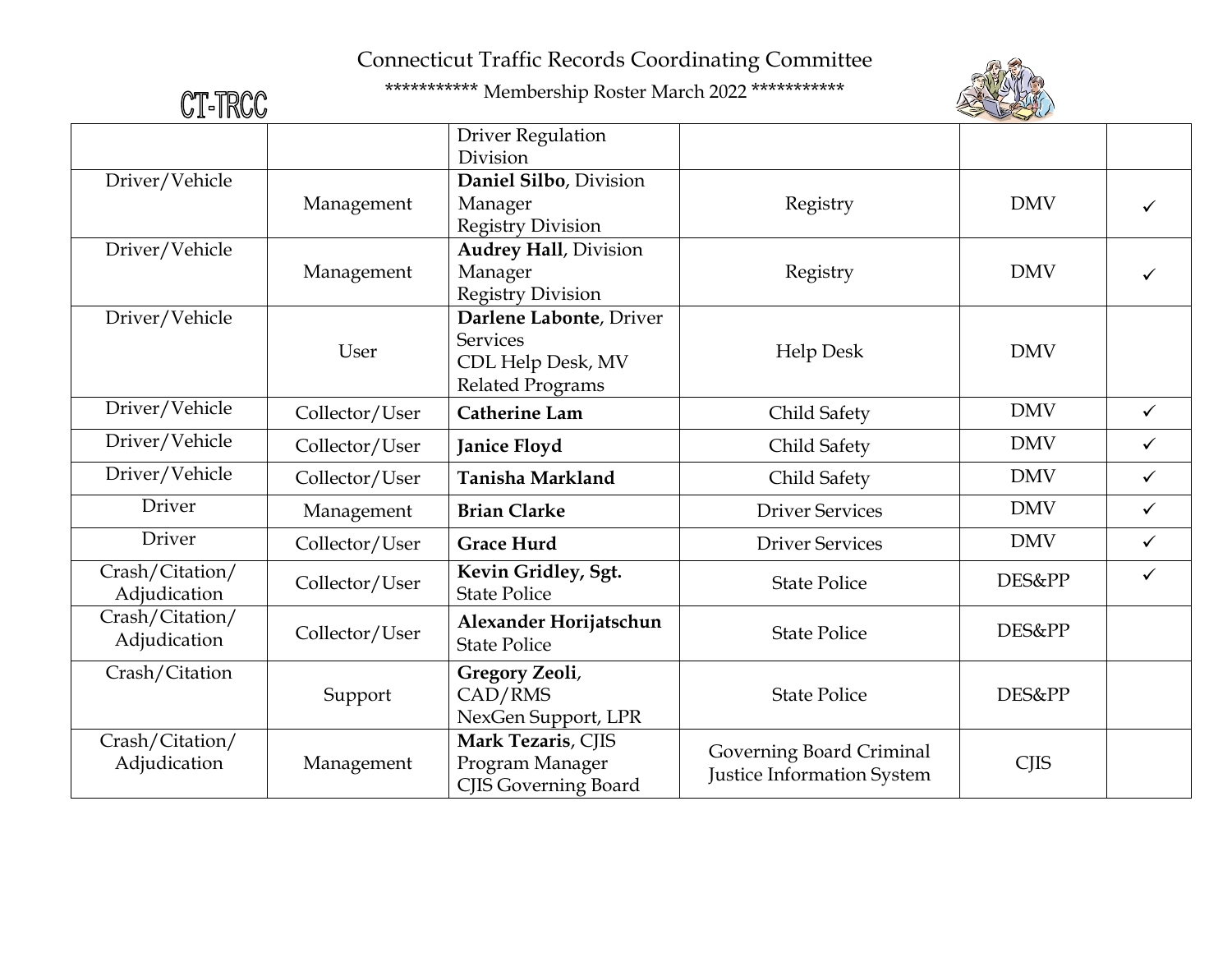

| CT-TRCC                         |                | *********** Membership Roster March 2022 ***********                                       |                                                        |             |              |
|---------------------------------|----------------|--------------------------------------------------------------------------------------------|--------------------------------------------------------|-------------|--------------|
|                                 |                | <b>Driver Regulation</b><br>Division                                                       |                                                        |             |              |
| Driver/Vehicle                  | Management     | Daniel Silbo, Division<br>Manager<br><b>Registry Division</b>                              | Registry                                               | <b>DMV</b>  |              |
| Driver/Vehicle                  | Management     | <b>Audrey Hall</b> , Division<br>Manager<br><b>Registry Division</b>                       | Registry                                               | <b>DMV</b>  | ✓            |
| Driver/Vehicle                  | User           | Darlene Labonte, Driver<br><b>Services</b><br>CDL Help Desk, MV<br><b>Related Programs</b> | <b>Help Desk</b>                                       | <b>DMV</b>  |              |
| Driver/Vehicle                  | Collector/User | <b>Catherine Lam</b>                                                                       | Child Safety                                           | <b>DMV</b>  | $\checkmark$ |
| Driver/Vehicle                  | Collector/User | <b>Janice Floyd</b>                                                                        | Child Safety                                           | <b>DMV</b>  | $\checkmark$ |
| Driver/Vehicle                  | Collector/User | Tanisha Markland                                                                           | Child Safety                                           | <b>DMV</b>  | $\checkmark$ |
| Driver                          | Management     | <b>Brian Clarke</b>                                                                        | <b>Driver Services</b>                                 | <b>DMV</b>  | $\checkmark$ |
| Driver                          | Collector/User | <b>Grace Hurd</b>                                                                          | <b>Driver Services</b>                                 | <b>DMV</b>  | $\checkmark$ |
| Crash/Citation/<br>Adjudication | Collector/User | Kevin Gridley, Sgt.<br><b>State Police</b>                                                 | <b>State Police</b>                                    | DES&PP      | $\checkmark$ |
| Crash/Citation/<br>Adjudication | Collector/User | Alexander Horijatschun<br><b>State Police</b>                                              | <b>State Police</b>                                    | DES&PP      |              |
| Crash/Citation                  | Support        | Gregory Zeoli,<br>CAD/RMS<br>NexGen Support, LPR                                           | <b>State Police</b>                                    | DES&PP      |              |
| Crash/Citation/<br>Adjudication | Management     | Mark Tezaris, CJIS<br>Program Manager<br><b>CJIS Governing Board</b>                       | Governing Board Criminal<br>Justice Information System | <b>CJIS</b> |              |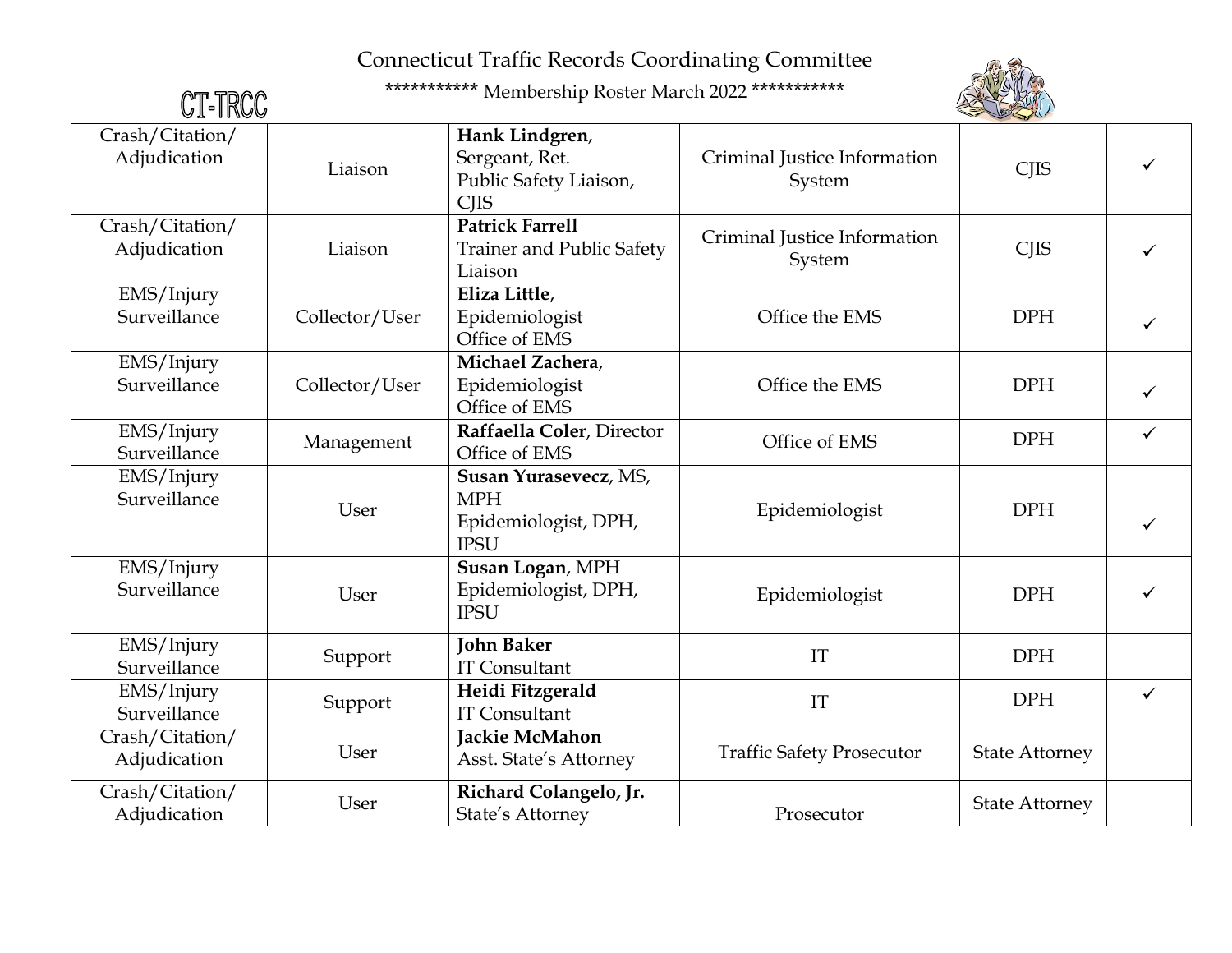

| CT-TRCC                         |                | *********** Membership Roster March 2022 ***********                       |                                        |                       |              |
|---------------------------------|----------------|----------------------------------------------------------------------------|----------------------------------------|-----------------------|--------------|
| Crash/Citation/<br>Adjudication | Liaison        | Hank Lindgren,<br>Sergeant, Ret.<br>Public Safety Liaison,<br><b>CJIS</b>  | Criminal Justice Information<br>System | <b>CJIS</b>           | ✓            |
| Crash/Citation/<br>Adjudication | Liaison        | <b>Patrick Farrell</b><br><b>Trainer and Public Safety</b><br>Liaison      | Criminal Justice Information<br>System | <b>CJIS</b>           |              |
| EMS/Injury<br>Surveillance      | Collector/User | Eliza Little,<br>Epidemiologist<br>Office of EMS                           | Office the EMS                         | <b>DPH</b>            | $\checkmark$ |
| EMS/Injury<br>Surveillance      | Collector/User | Michael Zachera,<br>Epidemiologist<br>Office of EMS                        | Office the EMS                         | <b>DPH</b>            |              |
| EMS/Injury<br>Surveillance      | Management     | Raffaella Coler, Director<br>Office of EMS                                 | Office of EMS                          | <b>DPH</b>            | $\checkmark$ |
| EMS/Injury<br>Surveillance      | User           | Susan Yurasevecz, MS,<br><b>MPH</b><br>Epidemiologist, DPH,<br><b>IPSU</b> | Epidemiologist                         | <b>DPH</b>            | ✓            |
| EMS/Injury<br>Surveillance      | User           | Susan Logan, MPH<br>Epidemiologist, DPH,<br><b>IPSU</b>                    | Epidemiologist                         | <b>DPH</b>            | ✓            |
| EMS/Injury<br>Surveillance      | Support        | <b>John Baker</b><br><b>IT Consultant</b>                                  | IT                                     | <b>DPH</b>            |              |
| EMS/Injury<br>Surveillance      | Support        | Heidi Fitzgerald<br><b>IT Consultant</b>                                   | IT                                     | <b>DPH</b>            | $\checkmark$ |
| Crash/Citation/<br>Adjudication | User           | Jackie McMahon<br>Asst. State's Attorney                                   | <b>Traffic Safety Prosecutor</b>       | <b>State Attorney</b> |              |
| Crash/Citation/<br>Adjudication | User           | Richard Colangelo, Jr.<br>State's Attorney                                 | Prosecutor                             | <b>State Attorney</b> |              |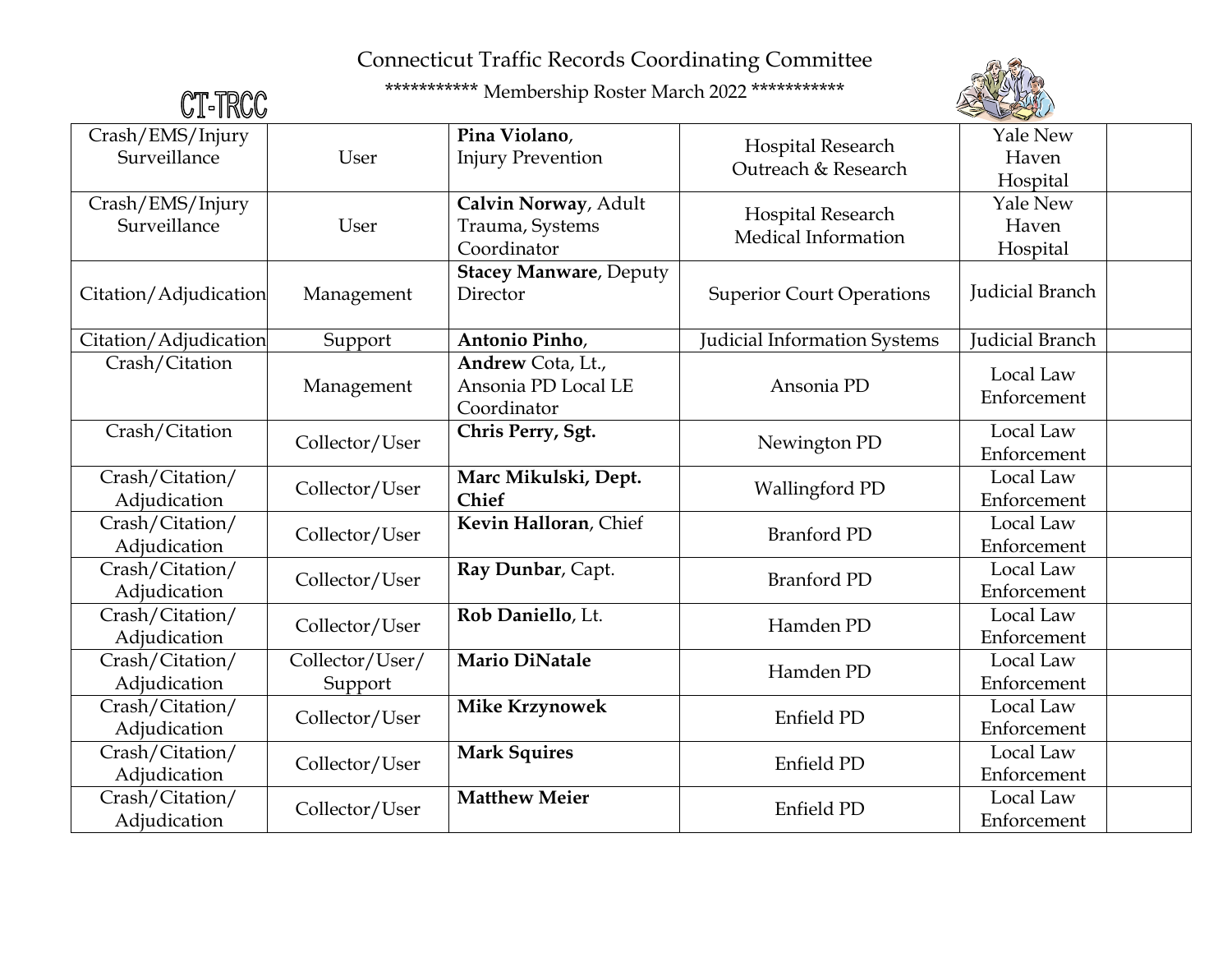

| CT-TRCC                                                    |                            | *********** Membership Roster March 2022 ***********    |                                          |                                      |
|------------------------------------------------------------|----------------------------|---------------------------------------------------------|------------------------------------------|--------------------------------------|
| Crash/EMS/Injury<br>Surveillance                           | User                       | Pina Violano,<br><b>Injury Prevention</b>               | Hospital Research<br>Outreach & Research | <b>Yale New</b><br>Haven<br>Hospital |
| Crash/EMS/Injury<br>Surveillance                           | User                       | Calvin Norway, Adult<br>Trauma, Systems<br>Coordinator  | Hospital Research<br>Medical Information | <b>Yale New</b><br>Haven<br>Hospital |
| Citation/Adjudication                                      | Management                 | <b>Stacey Manware</b> , Deputy<br>Director              | <b>Superior Court Operations</b>         | Judicial Branch                      |
| Citation/Adjudication                                      | Support                    | Antonio Pinho,                                          | Judicial Information Systems             | <b>Judicial Branch</b>               |
| Crash/Citation                                             | Management                 | Andrew Cota, Lt.,<br>Ansonia PD Local LE<br>Coordinator | Ansonia PD                               | Local Law<br>Enforcement             |
| Crash/Citation                                             | Collector/User             | Chris Perry, Sgt.                                       | Newington PD                             | Local Law<br>Enforcement             |
| $\overline{\text{Crash}}/\text{Citation}/$<br>Adjudication | Collector/User             | Marc Mikulski, Dept.<br><b>Chief</b>                    | <b>Wallingford PD</b>                    | Local Law<br>Enforcement             |
| Crash/Citation/<br>Adjudication                            | Collector/User             | Kevin Halloran, Chief                                   | <b>Branford PD</b>                       | Local Law<br>Enforcement             |
| Crash/Citation/<br>Adjudication                            | Collector/User             | Ray Dunbar, Capt.                                       | <b>Branford PD</b>                       | Local Law<br>Enforcement             |
| Crash/Citation/<br>Adjudication                            | Collector/User             | Rob Daniello, Lt.                                       | Hamden PD                                | Local Law<br>Enforcement             |
| Crash/Citation/<br>Adjudication                            | Collector/User/<br>Support | <b>Mario DiNatale</b>                                   | Hamden PD                                | Local Law<br>Enforcement             |
| Crash/Citation/<br>Adjudication                            | Collector/User             | <b>Mike Krzynowek</b>                                   | Enfield PD                               | Local Law<br>Enforcement             |
| Crash/Citation/<br>Adjudication                            | Collector/User             | <b>Mark Squires</b>                                     | Enfield PD                               | Local Law<br>Enforcement             |
| Crash/Citation/<br>Adjudication                            | Collector/User             | <b>Matthew Meier</b>                                    | Enfield PD                               | Local Law<br>Enforcement             |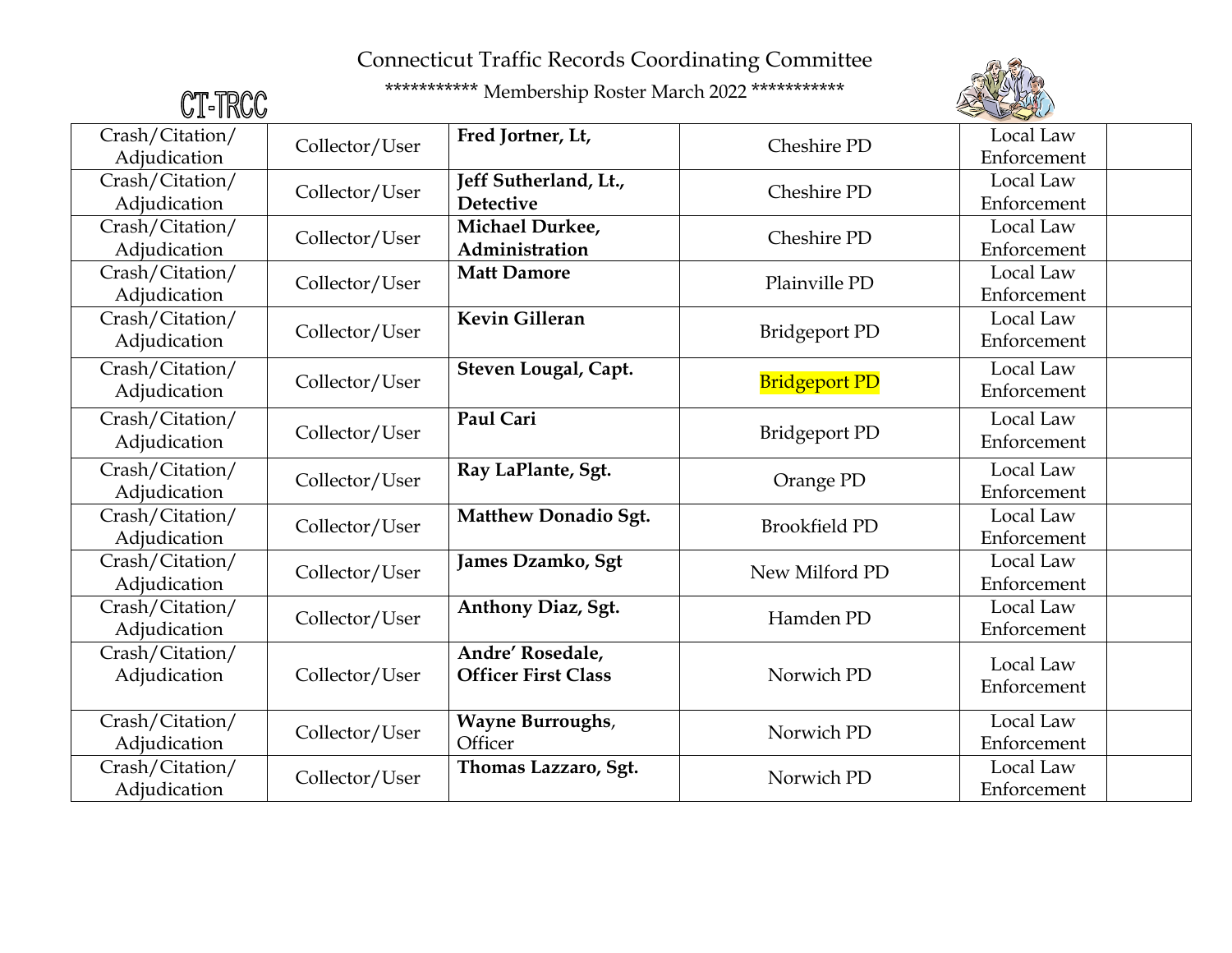

| CT-TRCC                                                    |                | *********** Membership Roster March 2022 *********** |                      |                          |
|------------------------------------------------------------|----------------|------------------------------------------------------|----------------------|--------------------------|
| Crash/Citation/<br>Adjudication                            | Collector/User | Fred Jortner, Lt,                                    | Cheshire PD          | Local Law<br>Enforcement |
| Crash/Citation/<br>Adjudication                            | Collector/User | Jeff Sutherland, Lt.,<br><b>Detective</b>            | Cheshire PD          | Local Law<br>Enforcement |
| Crash/Citation/<br>Adjudication                            | Collector/User | Michael Durkee,<br>Administration                    | Cheshire PD          | Local Law<br>Enforcement |
| Crash/Citation/<br>Adjudication                            | Collector/User | <b>Matt Damore</b>                                   | Plainville PD        | Local Law<br>Enforcement |
| Crash/Citation/<br>Adjudication                            | Collector/User | Kevin Gilleran                                       | <b>Bridgeport PD</b> | Local Law<br>Enforcement |
| Crash/Citation/<br>Adjudication                            | Collector/User | Steven Lougal, Capt.                                 | <b>Bridgeport PD</b> | Local Law<br>Enforcement |
| $\overline{\text{Crash}}/\text{Citation}/$<br>Adjudication | Collector/User | Paul Cari                                            | <b>Bridgeport PD</b> | Local Law<br>Enforcement |
| Crash/Citation/<br>Adjudication                            | Collector/User | Ray LaPlante, Sgt.                                   | Orange PD            | Local Law<br>Enforcement |
| Crash/Citation/<br>Adjudication                            | Collector/User | Matthew Donadio Sgt.                                 | <b>Brookfield PD</b> | Local Law<br>Enforcement |
| Crash/Citation/<br>Adjudication                            | Collector/User | James Dzamko, Sgt                                    | New Milford PD       | Local Law<br>Enforcement |
| Crash/Citation/<br>Adjudication                            | Collector/User | Anthony Diaz, Sgt.                                   | Hamden PD            | Local Law<br>Enforcement |
| Crash/Citation/<br>Adjudication                            | Collector/User | Andre' Rosedale,<br><b>Officer First Class</b>       | Norwich PD           | Local Law<br>Enforcement |
| Crash/Citation/<br>Adjudication                            | Collector/User | <b>Wayne Burroughs,</b><br>Officer                   | Norwich PD           | Local Law<br>Enforcement |
| Crash/Citation/<br>Adjudication                            | Collector/User | Thomas Lazzaro, Sgt.                                 | Norwich PD           | Local Law<br>Enforcement |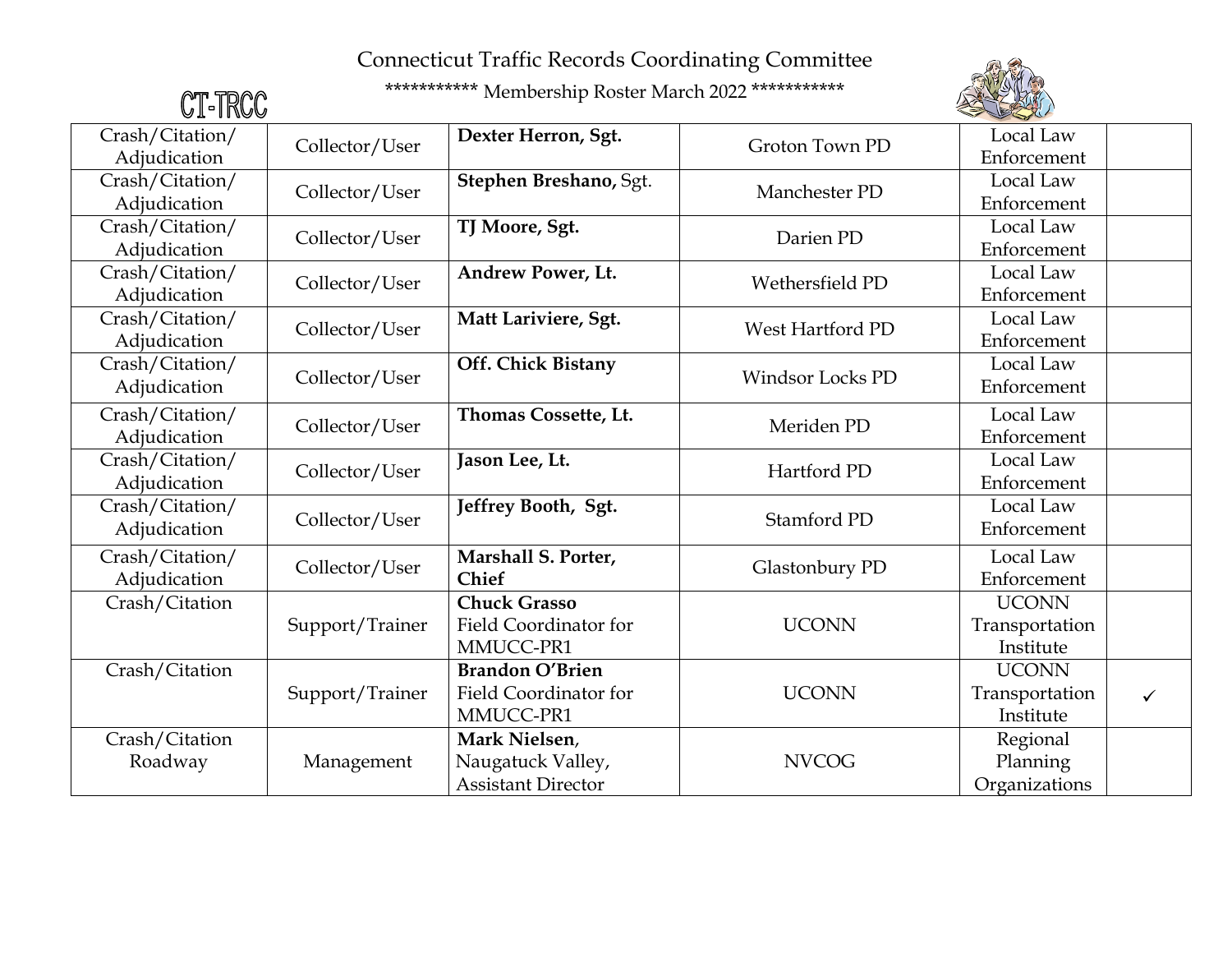

| CT-TRCC         |                 | *********** Membership Roster March 2022 *********** |                         |                |              |
|-----------------|-----------------|------------------------------------------------------|-------------------------|----------------|--------------|
| Crash/Citation/ | Collector/User  | Dexter Herron, Sgt.                                  | Groton Town PD          | Local Law      |              |
| Adjudication    |                 |                                                      |                         | Enforcement    |              |
| Crash/Citation/ | Collector/User  | Stephen Breshano, Sgt.                               | Manchester PD           | Local Law      |              |
| Adjudication    |                 |                                                      |                         | Enforcement    |              |
| Crash/Citation/ | Collector/User  | TJ Moore, Sgt.                                       | Darien PD               | Local Law      |              |
| Adjudication    |                 |                                                      |                         | Enforcement    |              |
| Crash/Citation/ | Collector/User  | <b>Andrew Power, Lt.</b>                             | Wethersfield PD         | Local Law      |              |
| Adjudication    |                 |                                                      |                         | Enforcement    |              |
| Crash/Citation/ | Collector/User  | Matt Lariviere, Sgt.                                 | West Hartford PD        | Local Law      |              |
| Adjudication    |                 |                                                      |                         | Enforcement    |              |
| Crash/Citation/ | Collector/User  | Off. Chick Bistany                                   | <b>Windsor Locks PD</b> | Local Law      |              |
| Adjudication    |                 |                                                      |                         | Enforcement    |              |
| Crash/Citation/ |                 | Thomas Cossette, Lt.                                 | Meriden PD              | Local Law      |              |
| Adjudication    | Collector/User  |                                                      |                         | Enforcement    |              |
| Crash/Citation/ | Collector/User  | Jason Lee, Lt.                                       | Hartford PD             | Local Law      |              |
| Adjudication    |                 |                                                      |                         | Enforcement    |              |
| Crash/Citation/ | Collector/User  | Jeffrey Booth, Sgt.                                  | Stamford PD             | Local Law      |              |
| Adjudication    |                 |                                                      |                         | Enforcement    |              |
| Crash/Citation/ |                 | Marshall S. Porter,                                  |                         | Local Law      |              |
| Adjudication    | Collector/User  | <b>Chief</b>                                         | Glastonbury PD          | Enforcement    |              |
| Crash/Citation  |                 | <b>Chuck Grasso</b>                                  |                         | <b>UCONN</b>   |              |
|                 | Support/Trainer | Field Coordinator for                                | <b>UCONN</b>            | Transportation |              |
|                 |                 | MMUCC-PR1                                            |                         | Institute      |              |
| Crash/Citation  |                 | <b>Brandon O'Brien</b>                               |                         | <b>UCONN</b>   |              |
|                 | Support/Trainer | Field Coordinator for                                | <b>UCONN</b>            | Transportation | $\checkmark$ |
|                 |                 | MMUCC-PR1                                            |                         | Institute      |              |
| Crash/Citation  |                 | Mark Nielsen,                                        |                         | Regional       |              |
| Roadway         | Management      | Naugatuck Valley,                                    | <b>NVCOG</b>            | Planning       |              |
|                 |                 | <b>Assistant Director</b>                            |                         | Organizations  |              |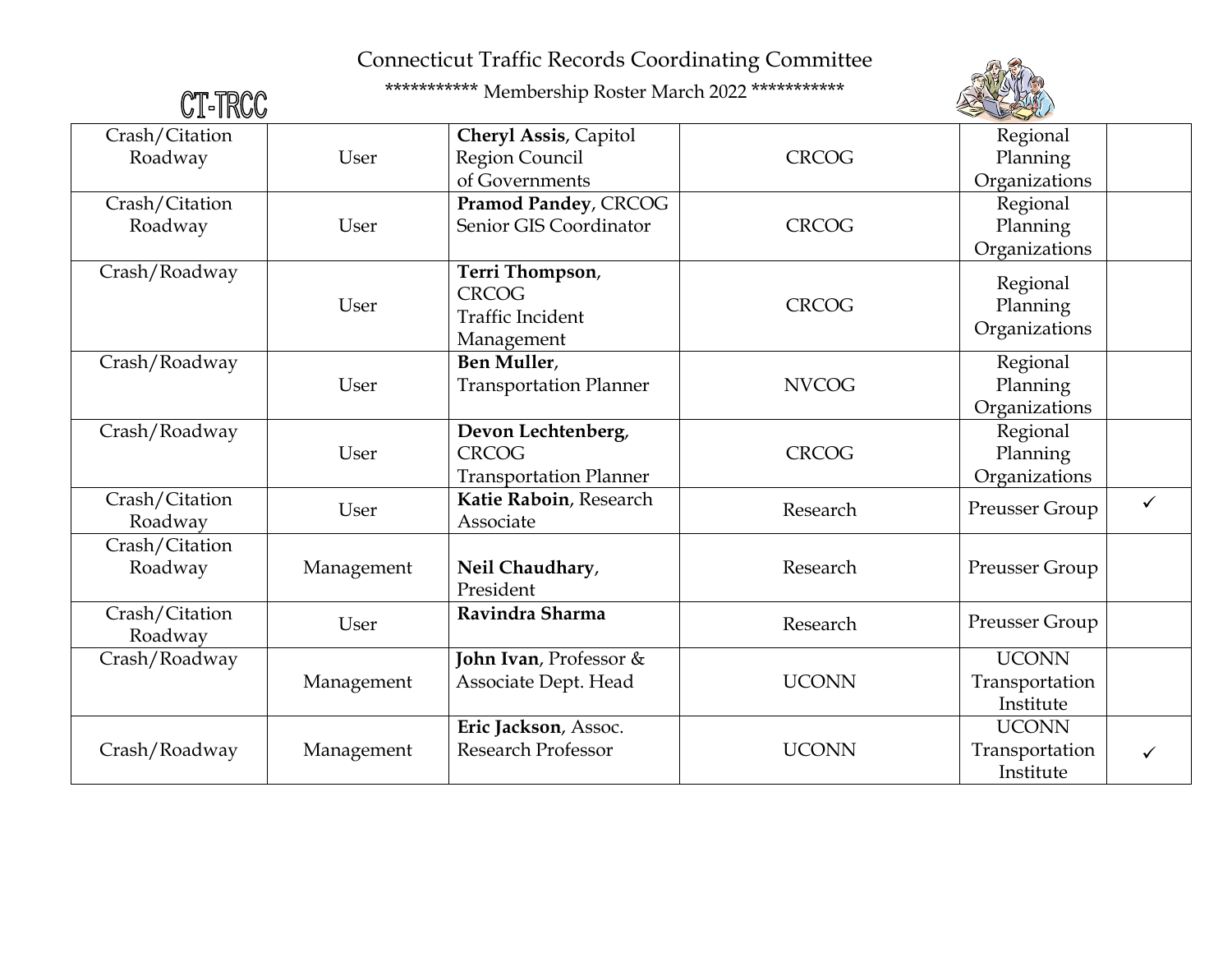

| CT-TRCC                   |            | *********** Membership Roster March 2022 ***********                     |              |                                             |              |
|---------------------------|------------|--------------------------------------------------------------------------|--------------|---------------------------------------------|--------------|
| Crash/Citation<br>Roadway | User       | Cheryl Assis, Capitol<br>Region Council<br>of Governments                | <b>CRCOG</b> | Regional<br>Planning<br>Organizations       |              |
| Crash/Citation<br>Roadway | User       | Pramod Pandey, CRCOG<br>Senior GIS Coordinator                           | <b>CRCOG</b> | Regional<br>Planning<br>Organizations       |              |
| Crash/Roadway             | User       | Terri Thompson,<br><b>CRCOG</b><br><b>Traffic Incident</b><br>Management | <b>CRCOG</b> | Regional<br>Planning<br>Organizations       |              |
| Crash/Roadway             | User       | Ben Muller,<br><b>Transportation Planner</b>                             | <b>NVCOG</b> | Regional<br>Planning<br>Organizations       |              |
| Crash/Roadway             | User       | Devon Lechtenberg,<br><b>CRCOG</b><br><b>Transportation Planner</b>      | <b>CRCOG</b> | Regional<br>Planning<br>Organizations       |              |
| Crash/Citation<br>Roadway | User       | Katie Raboin, Research<br>Associate                                      | Research     | Preusser Group                              | $\checkmark$ |
| Crash/Citation<br>Roadway | Management | Neil Chaudhary,<br>President                                             | Research     | Preusser Group                              |              |
| Crash/Citation<br>Roadway | User       | Ravindra Sharma                                                          | Research     | Preusser Group                              |              |
| Crash/Roadway             | Management | John Ivan, Professor &<br>Associate Dept. Head                           | <b>UCONN</b> | <b>UCONN</b><br>Transportation<br>Institute |              |
| Crash/Roadway             | Management | Eric Jackson, Assoc.<br><b>Research Professor</b>                        | <b>UCONN</b> | <b>UCONN</b><br>Transportation<br>Institute | $\checkmark$ |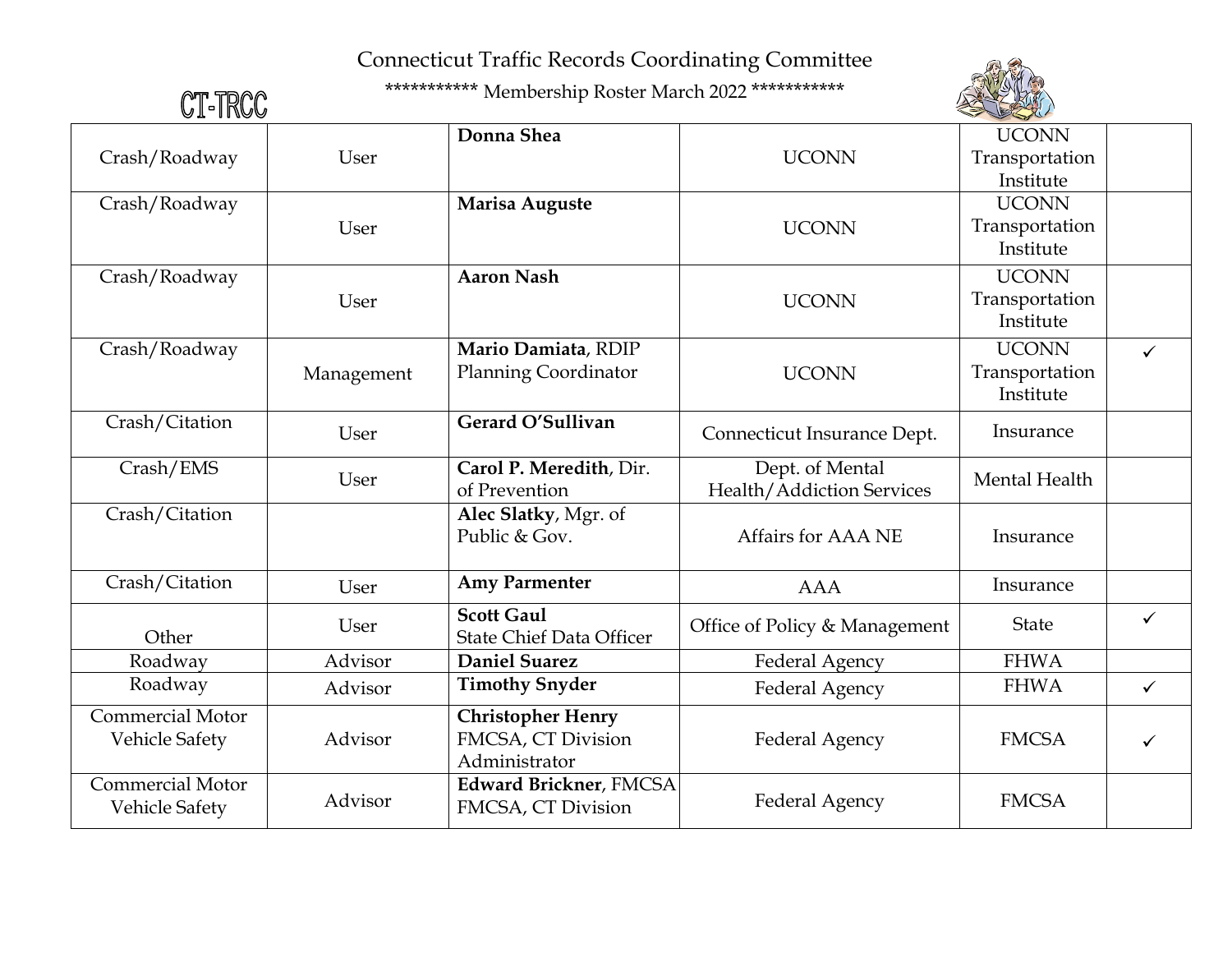

| CT-TRCC                 |            | *********** Membership Roster March 2022 *********** |                               |                |              |
|-------------------------|------------|------------------------------------------------------|-------------------------------|----------------|--------------|
|                         |            | Donna Shea                                           |                               | <b>UCONN</b>   |              |
| Crash/Roadway           | User       |                                                      | <b>UCONN</b>                  | Transportation |              |
|                         |            |                                                      |                               | Institute      |              |
| Crash/Roadway           |            | Marisa Auguste                                       |                               | <b>UCONN</b>   |              |
|                         | User       |                                                      | <b>UCONN</b>                  | Transportation |              |
|                         |            |                                                      |                               | Institute      |              |
| Crash/Roadway           |            | <b>Aaron Nash</b>                                    |                               | <b>UCONN</b>   |              |
|                         | User       |                                                      | <b>UCONN</b>                  | Transportation |              |
|                         |            |                                                      |                               | Institute      |              |
| Crash/Roadway           |            | Mario Damiata, RDIP                                  |                               | <b>UCONN</b>   | $\checkmark$ |
|                         | Management | <b>Planning Coordinator</b>                          | <b>UCONN</b>                  | Transportation |              |
|                         |            |                                                      |                               | Institute      |              |
| Crash/Citation          | User       | Gerard O'Sullivan                                    | Connecticut Insurance Dept.   | Insurance      |              |
|                         |            |                                                      |                               |                |              |
| Crash/EMS               | User       | Carol P. Meredith, Dir.                              | Dept. of Mental               | Mental Health  |              |
|                         |            | of Prevention                                        | Health/Addiction Services     |                |              |
| Crash/Citation          |            | Alec Slatky, Mgr. of<br>Public & Gov.                | Affairs for AAA NE            |                |              |
|                         |            |                                                      |                               | Insurance      |              |
| Crash/Citation          | User       | <b>Amy Parmenter</b>                                 | <b>AAA</b>                    | Insurance      |              |
|                         | User       | <b>Scott Gaul</b>                                    | Office of Policy & Management | <b>State</b>   | $\checkmark$ |
| Other                   |            | <b>State Chief Data Officer</b>                      |                               |                |              |
| Roadway                 | Advisor    | <b>Daniel Suarez</b>                                 | Federal Agency                | <b>FHWA</b>    |              |
| Roadway                 | Advisor    | <b>Timothy Snyder</b>                                | <b>Federal Agency</b>         | <b>FHWA</b>    | $\checkmark$ |
| <b>Commercial Motor</b> |            | <b>Christopher Henry</b>                             |                               |                |              |
| <b>Vehicle Safety</b>   | Advisor    | FMCSA, CT Division                                   | <b>Federal Agency</b>         | <b>FMCSA</b>   | $\checkmark$ |
|                         |            | Administrator                                        |                               |                |              |
| <b>Commercial Motor</b> | Advisor    | <b>Edward Brickner</b> , FMCSA                       | Federal Agency                | <b>FMCSA</b>   |              |
| Vehicle Safety          |            | FMCSA, CT Division                                   |                               |                |              |